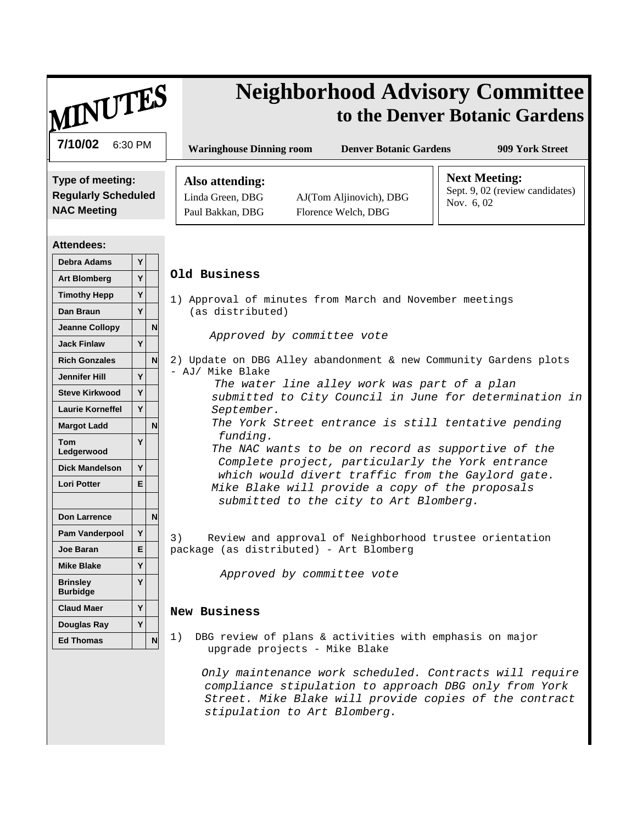| MINUTES                                                                                                                                                                                                                                                                                                                                                                                                                          | <b>Neighborhood Advisory Committee</b><br>to the Denver Botanic Gardens                                                                                                                                                                                                                                                                                                                                                                                                                                                                                                                                                        |
|----------------------------------------------------------------------------------------------------------------------------------------------------------------------------------------------------------------------------------------------------------------------------------------------------------------------------------------------------------------------------------------------------------------------------------|--------------------------------------------------------------------------------------------------------------------------------------------------------------------------------------------------------------------------------------------------------------------------------------------------------------------------------------------------------------------------------------------------------------------------------------------------------------------------------------------------------------------------------------------------------------------------------------------------------------------------------|
| 7/10/02<br>6:30 PM                                                                                                                                                                                                                                                                                                                                                                                                               | <b>Waringhouse Dinning room</b><br><b>Denver Botanic Gardens</b><br>909 York Street                                                                                                                                                                                                                                                                                                                                                                                                                                                                                                                                            |
| Type of meeting:<br><b>Regularly Scheduled</b><br><b>NAC Meeting</b>                                                                                                                                                                                                                                                                                                                                                             | <b>Next Meeting:</b><br>Also attending:<br>Sept. 9, 02 (review candidates)<br>Linda Green, DBG<br>AJ(Tom Aljinovich), DBG<br>Nov. 6, 02<br>Paul Bakkan, DBG<br>Florence Welch, DBG                                                                                                                                                                                                                                                                                                                                                                                                                                             |
| <b>Attendees:</b><br>Debra Adams<br>Y<br>Y<br><b>Art Blomberg</b><br>Y<br><b>Timothy Hepp</b><br>Y<br>Dan Braun<br>N<br><b>Jeanne Collopy</b><br>Y<br><b>Jack Finlaw</b><br>$\mathbf N$<br><b>Rich Gonzales</b><br>Y<br><b>Jennifer Hill</b><br>Y<br><b>Steve Kirkwood</b><br>Y<br><b>Laurie Korneffel</b><br>N<br><b>Margot Ladd</b><br>Y<br><b>Tom</b><br>Ledgerwood<br>Y<br><b>Dick Mandelson</b><br><b>Lori Potter</b><br>E. | Old Business<br>1) Approval of minutes from March and November meetings<br>(as distributed)<br>Approved by committee vote<br>2) Update on DBG Alley abandonment & new Community Gardens plots<br>- AJ/ Mike Blake<br>The water line alley work was part of a plan<br>submitted to City Council in June for determination in<br>September.<br>The York Street entrance is still tentative pending<br>funding.<br>The NAC wants to be on record as supportive of the<br>Complete project, particularly the York entrance<br>which would divert traffic from the Gaylord gate.<br>Mike Blake will provide a copy of the proposals |
| N<br>Don Larrence<br>Y<br><b>Pam Vanderpool</b><br>E.<br>Joe Baran<br>Y<br><b>Mike Blake</b><br>Y<br><b>Brinsley</b><br><b>Burbidge</b><br>Y<br><b>Claud Maer</b>                                                                                                                                                                                                                                                                | submitted to the city to Art Blomberg.<br>3) Review and approval of Neighborhood trustee orientation<br>package (as distributed) - Art Blomberg<br>Approved by committee vote<br>New Business                                                                                                                                                                                                                                                                                                                                                                                                                                  |
| Y<br>Douglas Ray<br>$\mathsf{N}$<br><b>Ed Thomas</b>                                                                                                                                                                                                                                                                                                                                                                             | DBG review of plans & activities with emphasis on major<br>1)<br>upgrade projects - Mike Blake<br>Only maintenance work scheduled. Contracts will require<br>compliance stipulation to approach DBG only from York<br>Street. Mike Blake will provide copies of the contract<br>stipulation to Art Blomberg.                                                                                                                                                                                                                                                                                                                   |

 $\overline{\phantom{a}}$